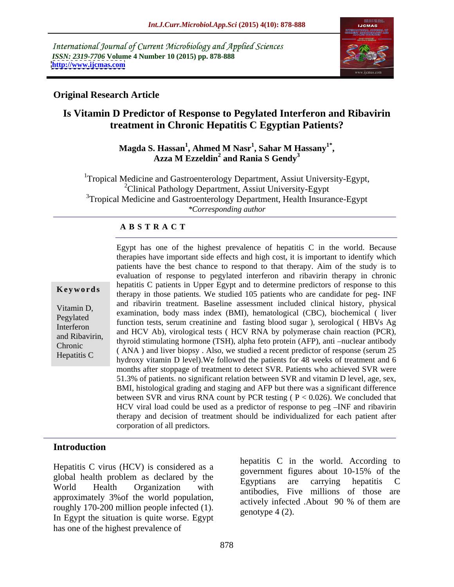International Journal of Current Microbiology and Applied Sciences *ISSN: 2319-7706* **Volume 4 Number 10 (2015) pp. 878-888 <http://www.ijcmas.com>**



## **Original Research Article**

# **Is Vitamin D Predictor of Response to Pegylated Interferon and Ribavirin treatment in Chronic Hepatitis C Egyptian Patients?**

#### **Magda S. Hassan<sup>1</sup> , Ahmed M Nasr<sup>1</sup> , Sahar M Hassany1\*** . Hassan<sup>1</sup>, Ahmed M Nasr<sup>1</sup>, Sahar M Hassany<sup>1</sup><sup>\*</sup>,<br>Azza M Ezzeldin<sup>2</sup> and Rania S Gendy<sup>3</sup> **and Rania S Gendy<sup>3</sup>**

<sup>1</sup>Tropical Medicine and Gastroenterology Department, Assiut University-Egypt, <sup>2</sup>Clinical Pathology Department, Assiut University-Egypt <sup>3</sup>Tropical Medicine and Gastroenterology Department, Health Insurance-Egypt *\*Corresponding author*

### **A B S T R A C T**

Hepatitis C

Egypt has one of the highest prevalence of hepatitis C in the world. Because therapies have important side effects and high cost, it is important to identify which patients have the best chance to respond to that therapy. Aim of the study is to evaluation of response to pegylated interferon and ribavirin therapy in chronic hepatitis C patients in Upper Egypt and to determine predictors of response to this **Keywords** the impact therapy in those patients. We studied 105 patients who are candidate for peg- INF and ribavirin treatment. Baseline assessment included clinical history, physical Vitamin D,<br>
examination, body mass index (BMI), hematological (CBC), biochemical ( liver Fegylated<br>Interferen function tests, serum creatinine and fasting blood sugar ), serological (HBVs Ag Interferon<br>and HCV Ab), virological tests ( HCV RNA by polymerase chain reaction (PCR), and Ribavirin, and HCV A0), virological tests (HCV KIVA by polymerase chain reaction (LCK), and the protein (AFP), anti-nuclear antibody Chronic<br>Honoritie C (ANA) and liver biopsy . Also, we studied a recent predictor of response (serum 25 hydroxy vitamin D level).We followed the patients for 48 weeks of treatment and 6 months after stoppage of treatment to detect SVR. Patients who achieved SVR were 51.3% of patients. no significant relation between SVR and vitamin D level, age, sex, BMI, histological grading and staging and AFP but there was a significant difference between SVR and virus RNA count by PCR testing  $(P < 0.026)$ . We concluded that HCV viral load could be used as a predictor of response to peg -INF and ribavirin therapy and decision of treatment should be individualized for each patient after corporation of all predictors.

### **Introduction**

Hepatitis C virus (HCV) is considered as a global health problem as declared by the Egyptians are carrying hepatitis C approximately 3%of the world population, roughly 170-200 million people infected (1). In Egypt the situation is quite worse. Egypt has one of the highest prevalence of

World Health Organization with antibodies, Five millions of those are hepatitis C in the world. According to government figures about 10-15% of the Egyptians are carrying hepatitis C actively infected .About 90 % of them are genotype 4 (2).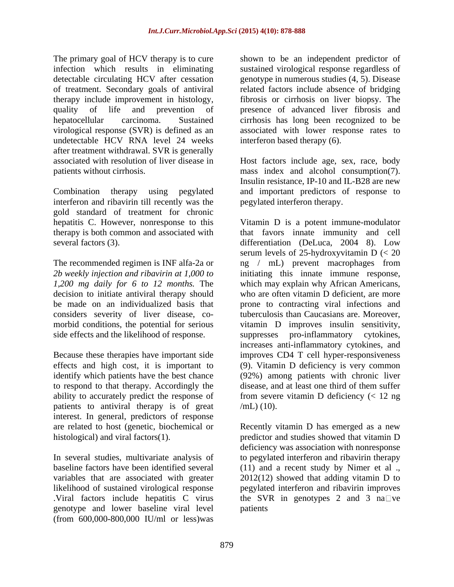therapy include improvement in histology, undetectable HCV RNA level 24 weeks after treatment withdrawal. SVR is generally

interferon and ribavirin till recently was the gold standard of treatment for chronic

side effects and the likelihood of response. Suppresses pro-inflammatory cytokines,

identify which patients have the best chance patients to antiviral therapy is of great  $/mL$  (10). interest. In general, predictors of response

genotype and lower baseline viral level (from 600,000-800,000 IU/ml or less)was

The primary goal of HCV therapy is to cure shown to be an independent predictor of infection which results in eliminating sustained virological response regardless of detectable circulating HCV after cessation genotype in numerous studies (4, 5). Disease of treatment. Secondary goals of antiviral related factors include absence of bridging quality of life and prevention of presence of advanced liver fibrosis and hepatocellular carcinoma. Sustained cirrhosis has long been recognized to be virological response (SVR) is defined as an associated with lower response rates to fibrosis or cirrhosis on liver biopsy. The interferon based therapy (6).

associated with resolution of liver disease in Host factors include age, sex, race, body patients without cirrhosis. mass index and alcohol consumption(7). Combination therapy using pegylated and important predictors of response to Insulin resistance, IP-10 and IL-B28 are new pegylated interferon therapy.

hepatitis C. However, nonresponse to this Vitamin D is a potent immune-modulator therapy is both common and associated with that favors innate immunity and cell several factors (3). differentiation (DeLuca, 2004 8). Low The recommended regimen is INF alfa-2a or ng / mL) prevent macrophages from *2b weekly injection and ribavirin at 1,000 to* initiating this innate immune response, *1,200 mg daily for 6 to 12 months.* The which may explain why African Americans, decision to initiate antiviral therapy should who are often vitamin D deficient, are more be made on an individualized basis that prone to contracting viral infections and considers severity of liver disease, co- tuberculosis than Caucasians are. Moreover, morbid conditions, the potential for serious vitamin D improves insulin sensitivity, Because these therapies have important side improves CD4 T cell hyper-responsiveness effects and high cost, it is important to (9). Vitamin D deficiency is very common to respond to that therapy. Accordingly the disease, and at least one third of them suffer ability to accurately predict the response of from severe vitamin D deficiency (< 12 ng serum levels of 25-hydroxyvitamin D (< 20 suppresses pro-inflammatory cytokines, increases anti-inflammatory cytokines, and (92%) among patients with chronic liver  $/mL$ ) (10).

are related to host (genetic, biochemical or Recently vitamin D has emerged as a new histological) and viral factors(1). predictor and studies showed that vitamin D In several studies, multivariate analysis of to pegylated interferon and ribavirin therapy baseline factors have been identified several (11) and a recent study by Nimer et al ., variables that are associated with greater 2012(12) showed that adding vitamin D to likelihood of sustained virological response pegylated interferon and ribavirin improves Viral factors include hepatitis C virus the SVR in genotypes 2 and 3 na $\square$  ve deficiency was association with nonresponse patients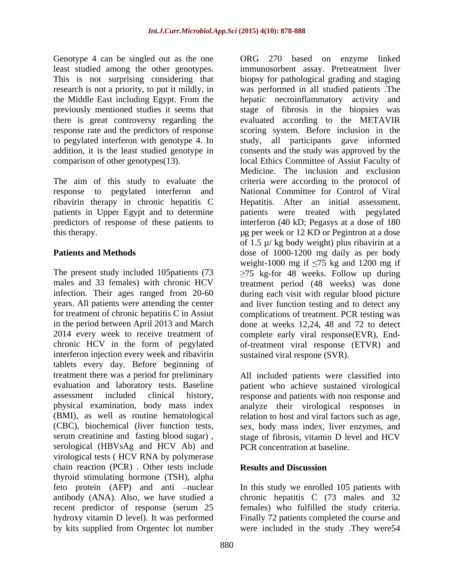Genotype 4 can be singled out as the one ORG 270 based on enzyme linked

interferon injection every week and ribavirin tablets every day. Before beginning of treatment there was a period for preliminary All included patients were classified into evaluation and laboratory tests. Baseline patient who achieve sustained virological assessment included clinical history, response and patients with non response and physical examination, body mass index analyze their virological responses in (BMI), as well as routine hematological relation to host and viral factors such as age, (CBC), biochemical (liver function tests, sex, body mass index, liver enzymes, and serum creatinine and fasting blood sugar), stage of fibrosis, vitamin D level and HCV serological (HBVsAg and HCV Ab) and virological tests ( HCV RNA by polymerase chain reaction (PCR). Other tests include Results and Discussion thyroid stimulating hormone (TSH), alpha feto protein (AFP) and anti -nuclear antibody (ANA). Also, we have studied a chronic hepatitis C (73 males and 32 recent predictor of response (serum 25 females) who fulfilled the study criteria. hydroxy vitamin D level). It was performed Finally 72 patients completed the course and by kits supplied from Orgentec lot number were included in the study .They were54

least studied among the other genotypes. immunosorbent assay. Pretreatment liver This is not surprising considering that biopsy for pathological grading and staging research is not a priority, to put it mildly, in was performed in all studied patients .The the Middle East including Egypt. From the hepatic necroinflammatory activity and previously mentioned studies it seems that stage of fibrosis in the biopsies was there is great controversy regarding the evaluated according to the METAVIR response rate and the predictors of response scoring system. Before inclusion in the to pegylated interferon with genotype 4. In study, all participants gave informed addition, it is the least studied genotype in consents and the study was approved by the comparison of other genotypes(13). local Ethics Committee of Assiut Faculty of The aim of this study to evaluate the criteria were according to the protocol of response to pegylated interferon and National Committee for Control of Viral ribavirin therapy in chronic hepatitis C Hepatitis. After an initial assessment, patients in Upper Egypt and to determine patients were treated with pegylated predictors of response of these patients to interferon (40 kD; Pegasys at a dose of 180 this therapy. µg per week or 12 KD or Pegintron at a dose **Patients and Methods** dose of 1000-1200 mg daily as per body The present study included 105 patients (73  $\geq$  25 kg-for 48 weeks. Follow up during males and 33 females) with chronic HCV treatment period (48 weeks) was done infection. Their ages ranged from 20-60 during each visit with regular blood picture years. All patients were attending the center and liver function testing and to detect any for treatment of chronic hepatitis C in Assiut complications of treatment. PCR testing was in the period between April 2013 and March done at weeks 12,24, 48 and 72 to detect 2014 every week to receive treatment of complete early viral response(EVR), End chronic HCV in the form of pegylated of-treatment viral response (ETVR) and Medicine. The inclusion and exclusion of 1.5 µ/ kg body weight) plus ribavirin at a weight-1000 mg if  $\leq 75$  kg and 1200 mg if sustained viral respone (SVR).

PCR concentration at baseline.

### **Results and Discussion**

In this study we enrolled 105 patients with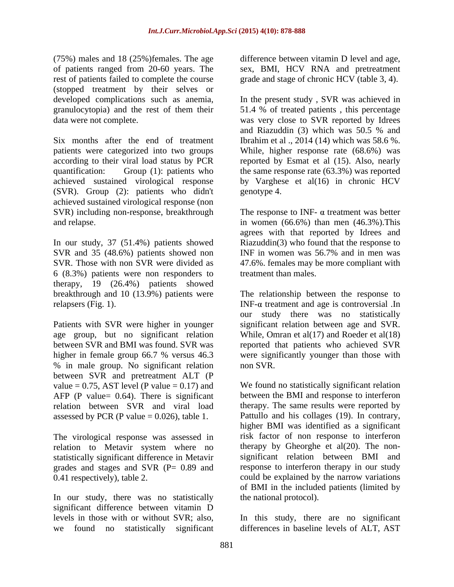(75%) males and 18 (25%)females. The age difference between vitamin D level and age, of patients ranged from 20-60 years. The sex, BMI, HCV RNA and pretreatment rest of patients failed to complete the course (stopped treatment by their selves or

Six months after the end of treatment Ibrahim et al., 2014 (14) which was 58.6 %. patients were categorized into two groups While, higher response rate (68.6%) was achieved sustained virological response (SVR). Group (2): patients who didn't achieved sustained virological response (non SVR) including non-response, breakthrough The response to INF-  $\alpha$  treatment was better and relapse in women (66.6%) than men (46.3%).This

In our study, 37 (51.4%) patients showed SVR and 35 (48.6%) patients showed non INF in women was 56.7% and in men was SVR. Those with non SVR were divided as 47.6%. females may be more compliant with 6 (8.3%) patients were non responders to therapy, 19 (26.4%) patients showed

Patients with SVR were higher in younger between SVR and BMI was found. SVR was % in male group. No significant relation between SVR and pretreatment ALT (P value =  $0.75$ , AST level (P value =  $0.17$ ) and AFP (P value=  $0.64$ ). There is significant assessed by PCR (P value  $= 0.026$ ), table 1.

The virological response was assessed in relation to Metavir system where no<br>statistically significant difference in Metavir grades and stages and SVR (P= 0.89 and

In our study, there was no statistically significant difference between vitamin D levels in those with or without SVR; also, In this study, there are no significant we found no statistically significant

grade and stage of chronic HCV (table 3, 4).

developed complications such as anemia, In the present study , SVR was achieved in granulocytopia) and the rest of them their 51.4 % of treated patients , this percentage data were not complete. was very close to SVR reported by Idrees according to their viral load status by PCR reported by Esmat et al (15). Also, nearly quantification: Group (1): patients who the same response rate (63.3%) was reported and Riazuddin (3) which was 50.5 % and Ibrahim et al ., 2014 (14) which was 58.6 %. While, higher response rate (68.6%) was by Varghese et al(16) in chronic HCV genotype 4.

> agrees with that reported by Idrees and Riazuddin(3) who found that the response to INF in women was 56.7% and in men was treatment than males.

breakthrough and 10 (13.9%) patients were The relationship between the response to  $r$ elapsers (Fig. 1).  $I\rightarrow I\rightarrow I\rightarrow \alpha$  treatment and age is controversial .In age group, but no significant relation While, Omran et al(17) and Roeder et al(18) higher in female group 66.7 % versus 46.3 were significantly younger than those with our study there was no statistically significant relation between age and SVR. reported that patients who achieved SVR were significantly younger than those with non SVR.

relation between SVR and viral load therapy. The same results were reported by statistically significant difference in Metavir significant relation between BMI and 0.41 respectively), table 2. could be explained by the narrow variations We found no statistically significant relation between the BMI and response to interferon Pattullo and his collages (19). In contrary, higher BMI was identified as a significant risk factor of non response to interferon therapy by Gheorghe et al $(20)$ . The nonresponse to interferon therapy in our study of BMI in the included patients (limited by the national protocol).

differences in baseline levels of ALT, AST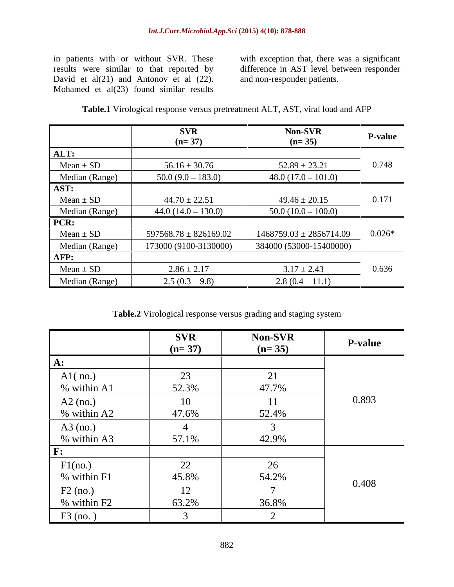David et al $(21)$  and Antonov et al  $(22)$ . Mohamed et al(23) found similar results

in patients with or without SVR. These with exception that, there was a significant results were similar to that reported by difference in AST level between responder with exception that, there was a significant difference in AST level between responder and non-responder patients.

| Table.1 Virologic<br>$1$ A $\Gamma L$<br>.<br>$\sim$ Virological response versus.<br>se versus pretreatment A<br>- VITAL .<br>71. AST. 1<br>$\alpha$ ilu $\alpha$ .<br>wu |  |
|---------------------------------------------------------------------------------------------------------------------------------------------------------------------------|--|
|                                                                                                                                                                           |  |

|                | <b>SVR</b><br>$(n=37)$    | <b>Non-SVR</b><br>$(n=35)$  | <b>P-value</b> |
|----------------|---------------------------|-----------------------------|----------------|
| ALT:           |                           |                             |                |
| $Mean \pm SD$  | $56.16 \pm 30.76$         | $52.89 \pm 23.21$           | 0.748          |
| Median (Range) | $50.0(9.0 - 183.0)$       | $48.0(17.0-101.0)$          |                |
| AST:           |                           |                             |                |
| $Mean \pm SD$  | $44.70 \pm 22.51$         | $49.46 \pm 20.15$           | 0.171          |
| Median (Range) | $44.0(14.0 - 130.0)$      | $50.0(10.0 - 100.0)$        |                |
| PCR:           |                           |                             |                |
| $Mean \pm SD$  | $597568.78 \pm 826169.02$ | $1468759.03 \pm 2856714.09$ | $0.026*$       |
| Median (Range) | 173000 (9100-3130000)     | 384000 (53000-15400000)     |                |
| AFP:           |                           |                             |                |
| $Mean \pm SD$  | $2.86 \pm 2.17$           | $3.17 \pm 2.43$             | 0.636          |
| Median (Range) | $2.5(0.3-9.8)$            | $2.8(0.4-11.1)$             |                |

**Table.2** Virological response versus grading and staging system

|                | <b>SVR</b><br>$(n=37)$ | <b>Non-SVR</b><br>$(n=35)$ | <b>P-value</b> |
|----------------|------------------------|----------------------------|----------------|
| <b>A:</b>      |                        |                            |                |
| Al(no.)        | 23                     |                            |                |
| % within A1    | 52.3%                  | 47.7%                      |                |
| $A2$ (no.)     | 10                     | 11                         | 0.893          |
| % within A2    | 47.6%                  | 52.4%                      |                |
| $A3$ (no.)     |                        |                            |                |
| % within A3    | 57.1%                  | 42.9%                      |                |
| $\mathbf{F}$ : |                        |                            |                |
| F1(no.)        | 22                     | 26                         |                |
| % within F1    | 45.8%                  | 54.2%                      |                |
| $F2$ (no.)     | 12                     |                            | 0.408          |
| % within F2    | 63.2%                  | 36.8%                      |                |
| $F3$ (no.)     |                        |                            |                |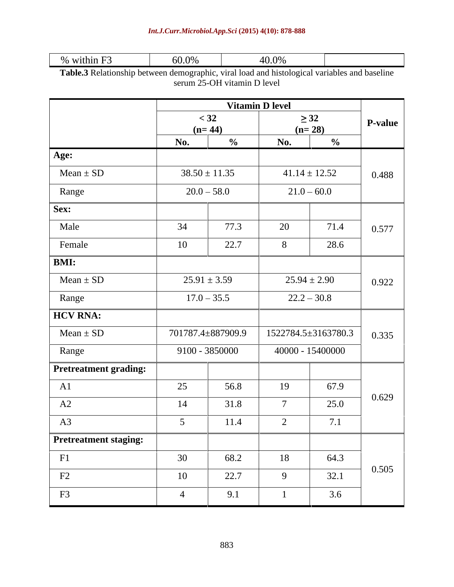### *Int.J.Curr.Microbiol.App.Sci* **(2015) 4(10): 878-888**

|--|--|--|

**Table.3** Relationship between demographic, viral load and histological variables and baseline serum 25-OH vitamin D level

|                              |                |                   | <b>Vitamin D level</b>   |                  |                         |
|------------------------------|----------------|-------------------|--------------------------|------------------|-------------------------|
|                              |                | $<$ 32            | $\geq 32$<br>(n= 28)     |                  | $\vert$ P-value $\vert$ |
|                              | $(n=44)$       |                   |                          |                  |                         |
|                              | No.            | 70                | No.                      | $\frac{1}{2}$    |                         |
| Age:                         |                |                   |                          |                  |                         |
| $Mean \pm SD$                |                | $38.50 \pm 11.35$ | $41.14 \pm 12.52$        |                  | 0.488                   |
| Range                        |                | $20.0 - 58.0$     |                          | $21.0 - 60.0$    |                         |
| Sex:                         |                |                   |                          |                  |                         |
| Male                         | 34             | 77.3              | 20                       | 71.4             | 0.577                   |
| Female                       | 10             | 22.7              |                          | 28.6             |                         |
| BMI:                         |                |                   |                          |                  |                         |
|                              |                |                   |                          |                  |                         |
| $Mean \pm SD$                |                | $25.91 \pm 3.59$  |                          | $25.94 \pm 2.90$ | 0.922                   |
| Range                        |                | $17.0 - 35.5$     |                          | $22.2 - 30.8$    |                         |
| <b>HCV RNA:</b>              |                |                   |                          |                  |                         |
| $Mean \pm SD$                |                | 701787.4±887909.9 | 1522784.5±3163780.3      |                  | 0.335                   |
| Range                        | 9100 - 3850000 |                   |                          | 40000 - 15400000 |                         |
| <b>Pretreatment grading:</b> |                |                   |                          |                  |                         |
|                              |                |                   |                          |                  |                         |
| A1                           | 25             | 56.8              | 19                       | 67.9             | 0.629                   |
| A2                           | 14             | 31.8              | $\overline{\phantom{0}}$ | 25.0             |                         |
| A3                           | $\sim$ 5       | 11.4              | $\bigcap$                | 7.1              |                         |
| <b>Pretreatment staging:</b> |                |                   |                          |                  |                         |
| F1                           | 30             | 68.2              | 18                       | 64.3             |                         |
| F2                           | 10             | 22.7              | $\Omega$                 | 32.1             | 0.505                   |
|                              |                |                   |                          |                  |                         |
| F3                           | $+$            | 9.1               |                          | 3.6              |                         |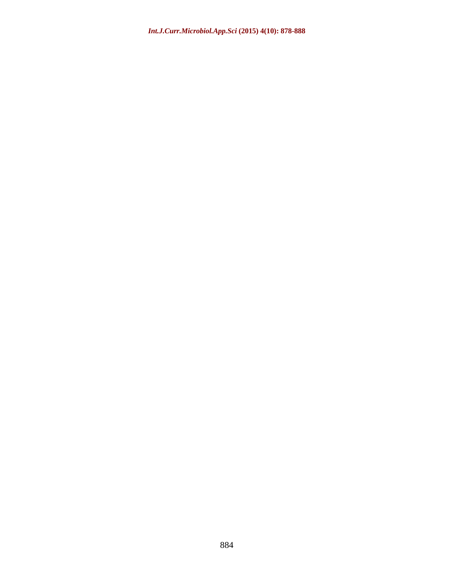*Int.J.Curr.Microbiol.App.Sci* **(2015) 4(10): 878-888**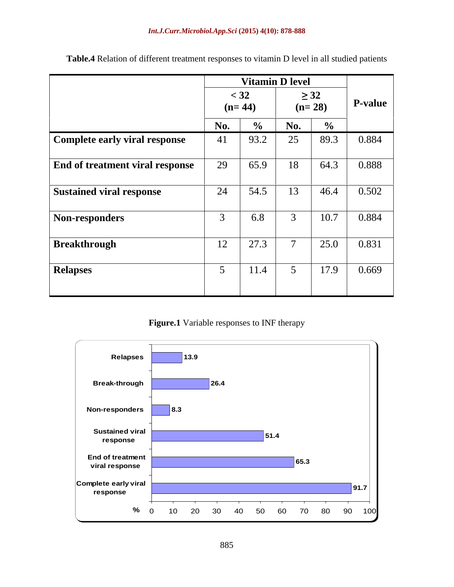|                                        |                                 | <b>Vitamin D level</b> |                |                       |                |
|----------------------------------------|---------------------------------|------------------------|----------------|-----------------------|----------------|
|                                        |                                 | $<$ 32<br>$(n=44)$     |                | $\geq$ 32<br>$(n=28)$ | <b>P-value</b> |
|                                        | No.                             | $\gamma_0$             | $\mathbf{No.}$ | $\frac{0}{0}$         |                |
| Complete early viral response          | $\overline{11}$<br>ᆉ            | 93.2                   |                | 25   89.3             | 0.884          |
| <b>End of treatment viral response</b> |                                 | 65.9                   | 18             | 64.3                  | 0.888          |
| <b>Sustained viral response</b>        | 24                              | 54.5                   | 13             | 46.4                  | 0.502          |
| Non-responders                         |                                 | 6.8                    |                | 10.7                  | 0.884          |
| Breakthrough                           | 12 <sup>1</sup><br>$\mathbf{L}$ | 27.3                   |                | 125.0                 | 0.831          |
| <b>Relapses</b>                        | $\mathcal{L}$                   | 11.4                   | $\sim$         |                       | 17.9 0.669     |

**Table.4** Relation of different treatment responses to vitamin D level in all studied patients

**Figure.1** Variable responses to INF therapy

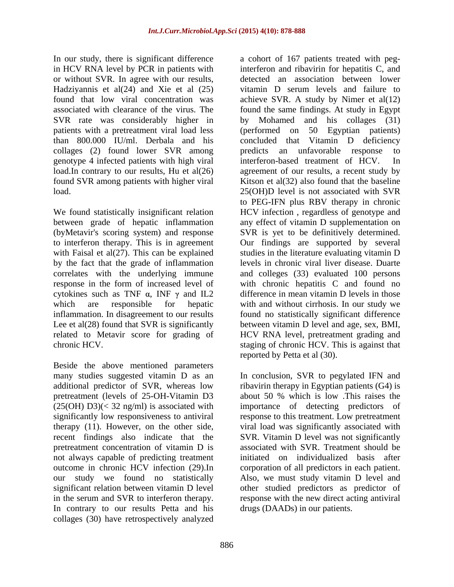in HCV RNA level by PCR in patients with or without SVR. In agree with our results, patients with a pretreatment viral load less (performed on 50 Egyptian patients) collages (2) found lower SVR among genotype 4 infected patients with high viral

to interferon therapy. This is in agreement by the fact that the grade of inflammation response in the form of increased level of

Beside the above mentioned parameters additional predictor of SVR, whereas low pretreatment (levels of 25-OH-Vitamin D3 about 50 % which is low This raises the pretreatment concentration of vitamin D is not always capable of predicting treatment<br>outcome in chronic HCV infection (29).In In contrary to our results Petta and his collages (30) have retrospectively analyzed

In our study, there is significant difference a cohort of 167 patients treated with peg-Hadziyannis et al(24) and Xie et al (25) vitamin D serum levels and failure to found that low viral concentration was achieve SVR. A study by Nimer et al(12) associated with clearance of the virus. The found the same findings. At study in Egypt SVR rate was considerably higher in by Mohamed and his collages (31) than 800.000 IU/ml. Derbala and his concluded that Vitamin D deficiency load.In contrary to our results, Hu et al(26) agreement of our results, a recent study by found SVR among patients with higher viral Kitson et al(32) also found that the baseline load. 25(OH)D level is not associated with SVR We found statistically insignificant relation HCV infection , regardless of genotype and between grade of hepatic inflammation any effect of vitamin D supplementation on (byMetavir's scoring system) and response SVR is yet to be definitively determined. with Faisal et al(27). This can be explained studies in the literature evaluating vitamin D correlates with the underlying immune and colleges (33) evaluated 100 persons cytokines such as TNF  $\alpha$ , INF  $\gamma$  and IL2 difference in mean vitamin D levels in those which are responsible for hepatic with and without cirrhosis. In our study we inflammation. In disagreement to our results found no statistically significant difference Lee et al(28) found that SVR is significantly between vitamin D level and age, sex, BMI, related to Metavir score for grading of HCV RNA level, pretreatment grading and chronic HCV. staging of chronic HCV. This is against that interferon and ribavirin for hepatitis C, and detected an association between lower (performed on 50 Egyptian patients) predicts an unfavorable response interferon-based treatment of HCV. to PEG-IFN plus RBV therapy in chronic Our findings are supported by several levels in chronic viral liver disease. Duarte with chronic hepatitis C and found no reported by Petta et al (30).

many studies suggested vitamin D as an In conclusion, SVR to pegylated IFN and (25(OH) D3)(< 32 ng/ml) is associated with importance of detecting predictors of significantly low responsiveness to antiviral response to this treatment. Low pretreatment therapy (11). However, on the other side, viral load was significantly associated with recent findings also indicate that the SVR. Vitamin D level was not significantly outcome in chronic HCV infection (29).In corporation of all predictors in each patient. our study we found no statistically Also, we must study vitamin D level and significant relation between vitamin D level other studied predictors as predictor of in the serum and SVR to interferon therapy. response with the new direct acting antiviral ribavirin therapy in Egyptian patients (G4) is about 50 % which is low .This raises the associated with SVR. Treatment should be initiated on individualized basis after drugs (DAADs) in our patients.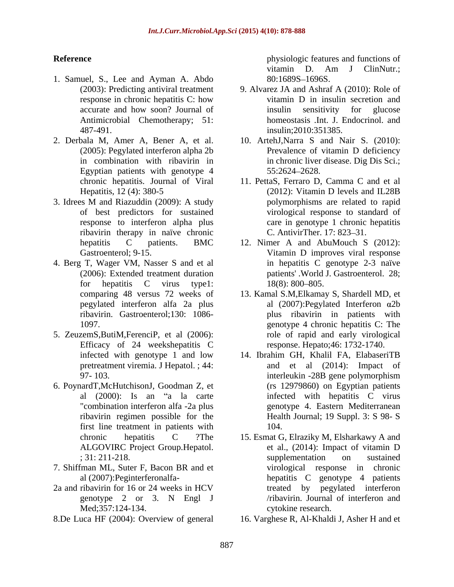- 1. Samuel, S., Lee and Ayman A. Abdo Antimicrobial Chemotherapy; 51:
- 2. Derbala M, Amer A, Bener A, et al. 10. ArtehJ,Narra S and Nair S. (2010): Egyptian patients with genotype 4 55:2624-2628.
- 3. Idrees M and Riazuddin (2009): A study ribavirin therapy in naïve chronic C. AntivirTher. 17: 823–31.
- 4. Berg T, Wager VM, Nasser S and etal
- 5. ZeuzemS,ButiM,FerenciP, et al (2006): Efficacy of 24 weekshepatitis C
- 6. PoynardT,McHutchisonJ, Goodman Z, et "combination interferon alfa -2a plus ribavirin regimen possible for the first line treatment in patients with 104.
- 7. Shiffman ML, Suter F, Bacon BR and et
- 2a and ribavirin for 16 or 24 weeks in HCV Med;357:124-134.
- 

**Reference Example 3 Physiologic features and functions of physiologic features** and functions of vitamin D. Am J ClinNutr.; 80:1689S-1696S.

- (2003): Predicting antiviral treatment 9. Alvarez JA and Ashraf A (2010): Role of response in chronic hepatitis C: how vitamin D in insulin secretion and accurate and how soon? Journal of 487-491. insulin;2010:351385. vitamin D in insulin secretion and insulin sensitivity for glucose homeostasis .Int. J. Endocrinol. and
- (2005): Pegylated interferon alpha 2b Prevalence of vitamin D deficiency in combination with ribavirin in in the in chronic liver disease. Dig Dis Sci.; 55:2624 2628.
- chronic hepatitis. Journal of Viral 11. PettaS, Ferraro D, Camma C and et al Hepatitis, 12 (4): 380-5 (2012): Vitamin D levels and IL28B of best predictors for sustained virological response to standard of response to interferon alpha plus care in genotype 1 chronic hepatitis (2012): Vitamin D levels and IL28B polymorphisms are related to rapid C. AntivirTher. 17: 823–31.
- hepatitis C patients. BMC 12. Nimer A and AbuMouch S (2012): Gastroenterol; 9-15. Vitamin D improves viral response (2006): Extended treatment duration patients' .World J. Gastroenterol. 28; for hepatitis C virus type1:  $18(8): 800-805$ . in hepatitis C genotype 2-3 naïve  $18(8)$ : 800-805.
- comparing 48 versus 72 weeks of 13. Kamal S.M,Elkamay S, Shardell MD, et pegylated interferon alfa 2a plus al (2007):Pegylated Interferon 2b ribavirin. Gastroenterol;130: 1086- plus ribavirin in patients with 1097. genotype 4 chronic hepatitis C: The role of rapid and early virological response. Hepato;46: 1732-1740.
- infected with genotype 1 and low 14. Ibrahim GH, Khalil FA, ElabaseriTB pretreatment viremia. J Hepatol ; 44: and et al (2014): Impact of 97-103. interleukin -28B gene polymorphism al (2000): Is an "a la carte infected with hepatitis C virus interleukin -28B gene polymorphism (rs 12979860) on Egyptian patients genotype 4. Eastern Mediterranean Health Journal; 19 Suppl. 3: S 98- S 104.
- chronic hepatitis C ?The 15. Esmat G, Elraziky M, Elsharkawy A and ALGOVIRC Project Group.Hepatol. et al., (2014): Impact of vitamin D ; 31: 211-218. al (2007):Peginterferonalfa- hepatitis C genotype 4 patients genotype 2 or 3. N Engl J et al., (2014): Impact of vitamin D supplementation on sustained virological response in chronic treated by pegylated interferon /ribavirin. Journal of interferon and cytokine research.
- 8.De Luca HF (2004): Overview of general 16. Varghese R, Al-Khaldi J, Asher H and et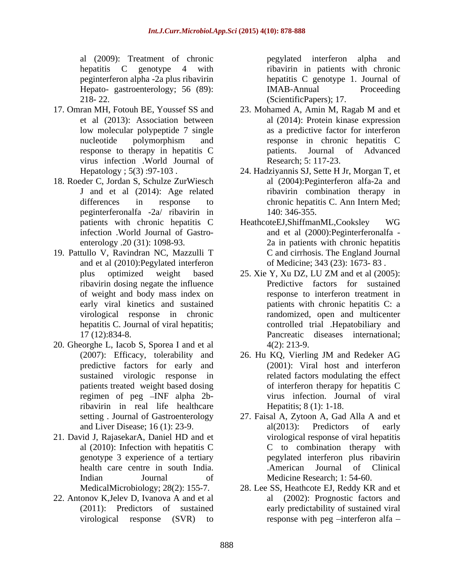al (2009): Treatment of chronic hepatitis C genotype 4 with ribavirin in patients with chronic peginterferon alpha -2a plus ribavirin hepatitis C genotype 1. Journal of Hepato- gastroenterology; 56 (89): IMAB-Annual Proceeding

- 17. Omran MH, Fotouh BE, Youssef SS and 23. Mohamed A, Amin M, Ragab M and et virus infection .World Journal of
- 18. Roeder C, Jordan S, Schulze ZurWiesch peginterferonalfa -2a/ ribavirin in
- 19. Pattullo V, Ravindran NC, Mazzulli T and et al (2010):Pegylated interferon ribavirin dosing negate the influence
- 20. Gheorghe L, Iacob S, Sporea I and et al regimen of peg -INF alpha 2bribavirin in real life healthcare
- 21. David J, RajasekarA, Daniel HD and et
- 22. Antonov K,Jelev D, Ivanova A and et al

218- 22. (ScientificPapers); 17. pegylated interferon alpha and IMAB-Annual Proceeding

- et al (2013): Association between al (2014): Protein kinase expression low molecular polypeptide 7 single as a predictive factor for interferon nucleotide polymorphism and response in chronic hepatitis C response to therapy in hepatitis C response in chronic hepatitis C patients. Journal of Advanced Research; 5: 117-23.
- Hepatology ; 5(3) :97-103 . 24. Hadziyannis SJ, Sette H Jr, Morgan T, et J and et al (2014): Age related ribavirin combination therapy in differences in response to chronic hepatitis C. Ann Intern Med; al (2004):Peginterferon alfa-2a and 140: 346-355.
- patients with chronic hepatitis C infection .World Journal of Gastro- and et al (2000):Peginterferonalfa enterology .20 (31): 1098-93. 2a in patients with chronic hepatitis HeathcoteEJ,ShiffmanML,Cooksley WG C and cirrhosis. The England Journal of Medicine; 343 (23): 1673- 83 .
- plus optimized weight based 25. Xie Y, Xu DZ, LU ZM and et al (2005): of weight and body mass index on response to interferon treatment in early viral kinetics and sustained patients with chronic hepatitis C: a virological response in chronic randomized, open and multicenter hepatitis C. Journal of viral hepatitis; controlled trial .Hepatobiliary and 17 (12):834-8. Pancreatic diseases international; 25. Xie Y, Xu DZ, LU ZM and et al (2005): Predictive factors for sustained 4(2): 213-9.
- (2007): Efficacy, tolerability and 26. Hu KQ, Vierling JM and Redeker AG predictive factors for early and (2001): Viral host and interferon sustained virologic response in related factors modulating the effect patients treated weight based dosing of interferon therapy for hepatitis C 26. Hu KQ, Vierling JM and Redeker AG virus infection. Journal of viral Hepatitis; 8 (1): 1-18.
- setting . Journal of Gastroenterology 27. Faisal A, Zytoon A, Gad Alla A and et and Liver Disease; 16 (1): 23-9.  $al(2013)$ : Predictors of early al (2010): Infection with hepatitis C C to combination therapy with genotype 3 experience of a tertiary pegylated interferon plus ribavirin health care centre in south India. Indian Journal of Medicine Research; 1: 54-60. al(2013): Predictors of early virological response of viral hepatitis .American Journal of Clinical
- MedicalMicrobiology; 28(2): 155-7. 28. Lee SS, Heathcote EJ, Reddy KR and et (2011): Predictors of sustained early predictability of sustained viral virological response (SVR) to response with peg -interferon alfa al (2002): Prognostic factors and